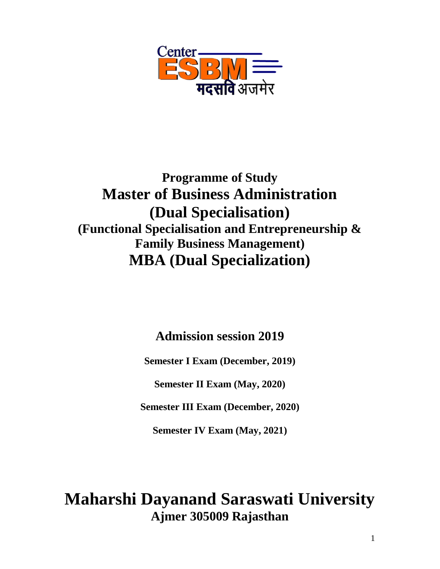

## **Programme of Study Master of Business Administration (Dual Specialisation) (Functional Specialisation and Entrepreneurship & Family Business Management) MBA (Dual Specialization)**

**Admission session 2019**

**Semester I Exam (December, 2019)**

**Semester II Exam (May, 2020)**

**Semester III Exam (December, 2020)**

**Semester IV Exam (May, 2021)**

# **Maharshi Dayanand Saraswati University Ajmer 305009 Rajasthan**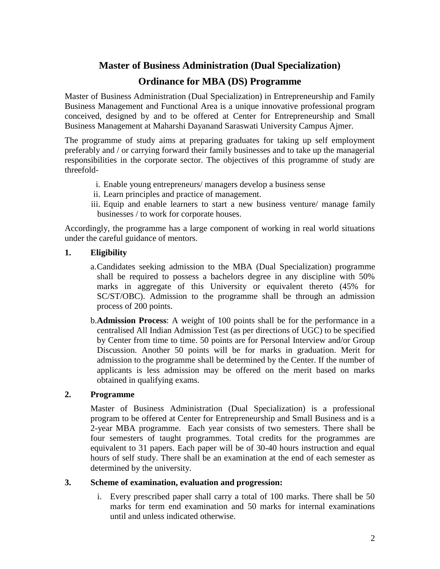## **Master of Business Administration (Dual Specialization)**

## **Ordinance for MBA (DS) Programme**

Master of Business Administration (Dual Specialization) in Entrepreneurship and Family Business Management and Functional Area is a unique innovative professional program conceived, designed by and to be offered at Center for Entrepreneurship and Small Business Management at Maharshi Dayanand Saraswati University Campus Ajmer.

The programme of study aims at preparing graduates for taking up self employment preferably and / or carrying forward their family businesses and to take up the managerial responsibilities in the corporate sector. The objectives of this programme of study are threefold-

- i. Enable young entrepreneurs/ managers develop a business sense
- ii. Learn principles and practice of management.
- iii. Equip and enable learners to start a new business venture/ manage family businesses / to work for corporate houses.

Accordingly, the programme has a large component of working in real world situations under the careful guidance of mentors.

#### **1. Eligibility**

- a.Candidates seeking admission to the MBA (Dual Specialization) programme shall be required to possess a bachelors degree in any discipline with 50% marks in aggregate of this University or equivalent thereto (45% for SC/ST/OBC). Admission to the programme shall be through an admission process of 200 points.
- b.**Admission Process**: A weight of 100 points shall be for the performance in a centralised All Indian Admission Test (as per directions of UGC) to be specified by Center from time to time. 50 points are for Personal Interview and/or Group Discussion. Another 50 points will be for marks in graduation. Merit for admission to the programme shall be determined by the Center. If the number of applicants is less admission may be offered on the merit based on marks obtained in qualifying exams.

## **2. Programme**

Master of Business Administration (Dual Specialization) is a professional program to be offered at Center for Entrepreneurship and Small Business and is a 2-year MBA programme. Each year consists of two semesters. There shall be four semesters of taught programmes. Total credits for the programmes are equivalent to 31 papers. Each paper will be of 30-40 hours instruction and equal hours of self study. There shall be an examination at the end of each semester as determined by the university.

#### **3. Scheme of examination, evaluation and progression:**

i. Every prescribed paper shall carry a total of 100 marks. There shall be 50 marks for term end examination and 50 marks for internal examinations until and unless indicated otherwise.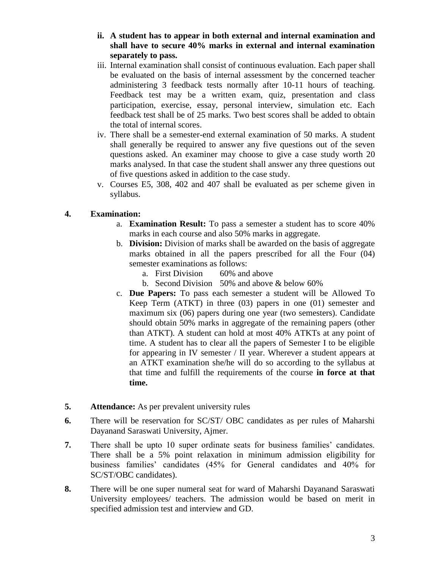- **ii. A student has to appear in both external and internal examination and shall have to secure 40% marks in external and internal examination separately to pass.**
- iii. Internal examination shall consist of continuous evaluation. Each paper shall be evaluated on the basis of internal assessment by the concerned teacher administering 3 feedback tests normally after 10-11 hours of teaching. Feedback test may be a written exam, quiz, presentation and class participation, exercise, essay, personal interview, simulation etc. Each feedback test shall be of 25 marks. Two best scores shall be added to obtain the total of internal scores.
- iv. There shall be a semester-end external examination of 50 marks. A student shall generally be required to answer any five questions out of the seven questions asked. An examiner may choose to give a case study worth 20 marks analysed. In that case the student shall answer any three questions out of five questions asked in addition to the case study.
- v. Courses E5, 308, 402 and 407 shall be evaluated as per scheme given in syllabus.

#### **4. Examination:**

- a. **Examination Result:** To pass a semester a student has to score 40% marks in each course and also 50% marks in aggregate.
- b. **Division:** Division of marks shall be awarded on the basis of aggregate marks obtained in all the papers prescribed for all the Four (04) semester examinations as follows:
	- a. First Division 60% and above
	- b. Second Division 50% and above & below 60%
- c. **Due Papers:** To pass each semester a student will be Allowed To Keep Term (ATKT) in three (03) papers in one (01) semester and maximum six (06) papers during one year (two semesters). Candidate should obtain 50% marks in aggregate of the remaining papers (other than ATKT). A student can hold at most 40% ATKTs at any point of time. A student has to clear all the papers of Semester I to be eligible for appearing in IV semester / II year. Wherever a student appears at an ATKT examination she/he will do so according to the syllabus at that time and fulfill the requirements of the course **in force at that time.**
- **5. Attendance:** As per prevalent university rules
- **6.** There will be reservation for SC/ST/ OBC candidates as per rules of Maharshi Dayanand Saraswati University, Ajmer.
- **7.** There shall be upto 10 super ordinate seats for business families' candidates. There shall be a 5% point relaxation in minimum admission eligibility for business families' candidates (45% for General candidates and 40% for SC/ST/OBC candidates).
- **8.** There will be one super numeral seat for ward of Maharshi Dayanand Saraswati University employees/ teachers. The admission would be based on merit in specified admission test and interview and GD.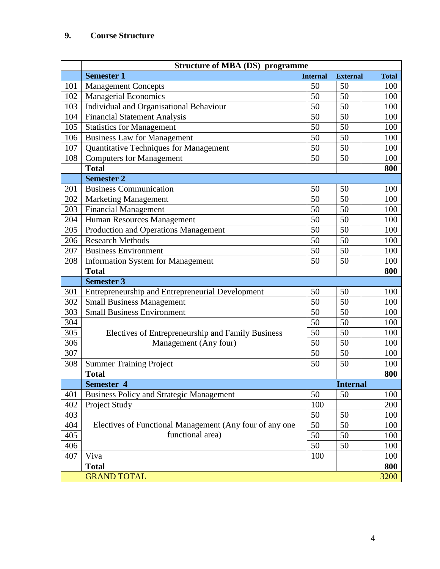## **9. Course Structure**

|     | <b>Structure of MBA (DS) programme</b>                  |                 |                 |              |
|-----|---------------------------------------------------------|-----------------|-----------------|--------------|
|     | <b>Semester 1</b>                                       | <b>Internal</b> | <b>External</b> | <b>Total</b> |
| 101 | <b>Management Concepts</b>                              | 50              | 50              | 100          |
| 102 | <b>Managerial Economics</b>                             | 50              | 50              | 100          |
| 103 | Individual and Organisational Behaviour                 | 50              | 50              | 100          |
| 104 | <b>Financial Statement Analysis</b>                     | 50              | 50              | 100          |
| 105 | <b>Statistics for Management</b>                        | 50              | 50              | 100          |
| 106 | <b>Business Law for Management</b>                      | 50              | 50              | 100          |
| 107 | Quantitative Techniques for Management                  | 50              | 50              | 100          |
| 108 | <b>Computers for Management</b>                         | 50              | 50              | 100          |
|     | <b>Total</b>                                            |                 |                 | 800          |
|     | <b>Semester 2</b>                                       |                 |                 |              |
| 201 | <b>Business Communication</b>                           | 50              | 50              | 100          |
| 202 | <b>Marketing Management</b>                             | 50              | 50              | 100          |
| 203 | <b>Financial Management</b>                             | 50              | 50              | 100          |
| 204 | Human Resources Management                              | 50              | 50              | 100          |
| 205 | Production and Operations Management                    | 50              | 50              | 100          |
| 206 | <b>Research Methods</b>                                 | 50              | 50              | 100          |
| 207 | <b>Business Environment</b>                             | 50              | 50              | 100          |
| 208 | <b>Information System for Management</b>                | 50              | 50              | 100          |
|     | <b>Total</b>                                            |                 |                 | 800          |
|     | <b>Semester 3</b>                                       |                 |                 |              |
| 301 | Entrepreneurship and Entrepreneurial Development        | 50              | 50              | 100          |
| 302 | Small Business Management                               | 50              | 50              | 100          |
| 303 | <b>Small Business Environment</b>                       | 50              | 50              | 100          |
| 304 |                                                         | 50              | 50              | 100          |
| 305 | Electives of Entrepreneurship and Family Business       | 50              | 50              | 100          |
| 306 | Management (Any four)                                   | 50              | 50              | 100          |
| 307 |                                                         | 50              | 50              | 100          |
| 308 | <b>Summer Training Project</b>                          | 50              | 50              | 100          |
|     | <b>Total</b>                                            |                 |                 | 800          |
|     | Semester 4                                              |                 | <b>Internal</b> |              |
| 401 | <b>Business Policy and Strategic Management</b>         | 50              | 50              | 100          |
| 402 | Project Study                                           | 100             |                 | 200          |
| 403 |                                                         | 50              | 50              | 100          |
| 404 | Electives of Functional Management (Any four of any one | 50              | 50              | 100          |
| 405 | functional area)                                        | 50              | 50              | 100          |
| 406 |                                                         | 50              | 50              | 100          |
| 407 | Viva                                                    | 100             |                 | 100          |
|     | <b>Total</b>                                            |                 |                 | 800          |
|     | <b>GRAND TOTAL</b>                                      |                 |                 | 3200         |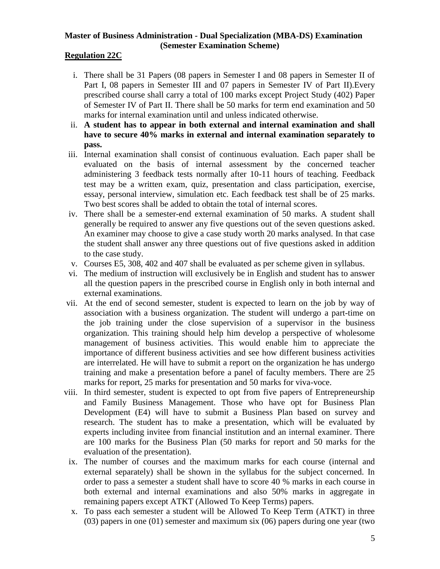#### **Master of Business Administration - Dual Specialization (MBA-DS) Examination (Semester Examination Scheme)**

#### **Regulation 22C**

- i. There shall be 31 Papers (08 papers in Semester I and 08 papers in Semester II of Part I, 08 papers in Semester III and 07 papers in Semester IV of Part II).Every prescribed course shall carry a total of 100 marks except Project Study (402) Paper of Semester IV of Part II. There shall be 50 marks for term end examination and 50 marks for internal examination until and unless indicated otherwise.
- ii. **A student has to appear in both external and internal examination and shall have to secure 40% marks in external and internal examination separately to pass.**
- iii. Internal examination shall consist of continuous evaluation. Each paper shall be evaluated on the basis of internal assessment by the concerned teacher administering 3 feedback tests normally after 10-11 hours of teaching. Feedback test may be a written exam, quiz, presentation and class participation, exercise, essay, personal interview, simulation etc. Each feedback test shall be of 25 marks. Two best scores shall be added to obtain the total of internal scores.
- iv. There shall be a semester-end external examination of 50 marks. A student shall generally be required to answer any five questions out of the seven questions asked. An examiner may choose to give a case study worth 20 marks analysed. In that case the student shall answer any three questions out of five questions asked in addition to the case study.
- v. Courses E5, 308, 402 and 407 shall be evaluated as per scheme given in syllabus.
- vi. The medium of instruction will exclusively be in English and student has to answer all the question papers in the prescribed course in English only in both internal and external examinations.
- vii. At the end of second semester, student is expected to learn on the job by way of association with a business organization. The student will undergo a part-time on the job training under the close supervision of a supervisor in the business organization. This training should help him develop a perspective of wholesome management of business activities. This would enable him to appreciate the importance of different business activities and see how different business activities are interrelated. He will have to submit a report on the organization he has undergo training and make a presentation before a panel of faculty members. There are 25 marks for report, 25 marks for presentation and 50 marks for viva-voce.
- viii. In third semester, student is expected to opt from five papers of Entrepreneurship and Family Business Management. Those who have opt for Business Plan Development (E4) will have to submit a Business Plan based on survey and research. The student has to make a presentation, which will be evaluated by experts including invitee from financial institution and an internal examiner. There are 100 marks for the Business Plan (50 marks for report and 50 marks for the evaluation of the presentation).
	- ix. The number of courses and the maximum marks for each course (internal and external separately) shall be shown in the syllabus for the subject concerned. In order to pass a semester a student shall have to score 40 % marks in each course in both external and internal examinations and also 50% marks in aggregate in remaining papers except ATKT (Allowed To Keep Terms) papers.
	- x. To pass each semester a student will be Allowed To Keep Term (ATKT) in three (03) papers in one (01) semester and maximum six (06) papers during one year (two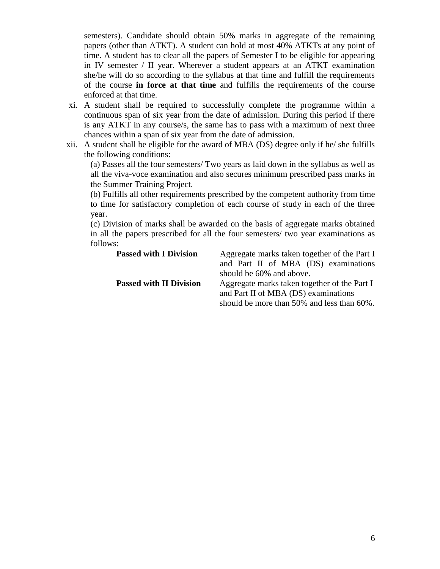semesters). Candidate should obtain 50% marks in aggregate of the remaining papers (other than ATKT). A student can hold at most 40% ATKTs at any point of time. A student has to clear all the papers of Semester I to be eligible for appearing in IV semester / II year. Wherever a student appears at an ATKT examination she/he will do so according to the syllabus at that time and fulfill the requirements of the course **in force at that time** and fulfills the requirements of the course enforced at that time.

- xi. A student shall be required to successfully complete the programme within a continuous span of six year from the date of admission. During this period if there is any ATKT in any course/s, the same has to pass with a maximum of next three chances within a span of six year from the date of admission.
- xii. A student shall be eligible for the award of MBA (DS) degree only if he/ she fulfills the following conditions:

(a) Passes all the four semesters/ Two years as laid down in the syllabus as well as all the viva-voce examination and also secures minimum prescribed pass marks in the Summer Training Project.

(b) Fulfills all other requirements prescribed by the competent authority from time to time for satisfactory completion of each course of study in each of the three year.

(c) Division of marks shall be awarded on the basis of aggregate marks obtained in all the papers prescribed for all the four semesters/ two year examinations as follows:

| <b>Passed with I Division</b>  | Aggregate marks taken together of the Part I<br>and Part II of MBA (DS) examinations<br>should be 60% and above.                   |
|--------------------------------|------------------------------------------------------------------------------------------------------------------------------------|
| <b>Passed with II Division</b> | Aggregate marks taken together of the Part I<br>and Part II of MBA (DS) examinations<br>should be more than 50% and less than 60%. |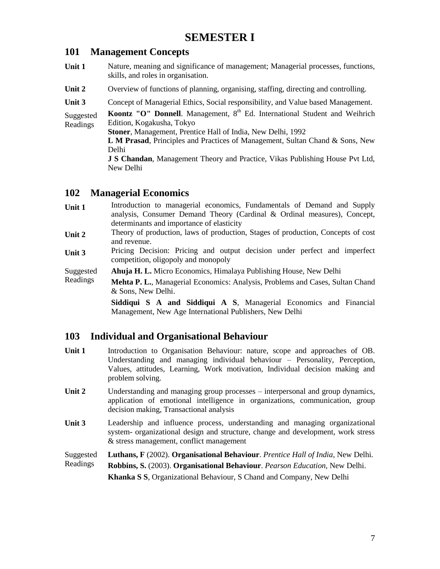## **SEMESTER I**

## **101 Management Concepts**

- **Unit 1** Nature, meaning and significance of management; Managerial processes, functions, skills, and roles in organisation.
- Unit 2 Overview of functions of planning, organising, staffing, directing and controlling.

Unit 3 Concept of Managerial Ethics, Social responsibility, and Value based Management.

Suggested Readings **Koontz "O" Donnell**. Management, 8<sup>th</sup> Ed. International Student and Weihrich Edition, Kogakusha, Tokyo

**Stoner**, Management, Prentice Hall of India, New Delhi, 1992

**L M Prasad**, Principles and Practices of Management, Sultan Chand & Sons, New Delhi

**J S Chandan**, Management Theory and Practice, Vikas Publishing House Pvt Ltd, New Delhi

## **102 Managerial Economics**

- Unit 1 Introduction to managerial economics, Fundamentals of Demand and Supply analysis, Consumer Demand Theory (Cardinal & Ordinal measures), Concept, determinants and importance of elasticity
- **Unit 2** Theory of production, laws of production, Stages of production, Concepts of cost and revenue.
- Unit 3 Pricing Decision: Pricing and output decision under perfect and imperfect competition, oligopoly and monopoly
- Suggested **Ahuja H. L.** Micro Economics, Himalaya Publishing House, New Delhi
- Readings **Mehta P. L.**, Managerial Economics: Analysis, Problems and Cases, Sultan Chand & Sons, New Delhi.

**Siddiqui S A and Siddiqui A S**, Managerial Economics and Financial Management, New Age International Publishers, New Delhi

## **103 Individual and Organisational Behaviour**

- Unit 1 Introduction to Organisation Behaviour: nature, scope and approaches of OB. Understanding and managing individual behaviour – Personality, Perception, Values, attitudes, Learning, Work motivation, Individual decision making and problem solving.
- Unit 2 Understanding and managing group processes interpersonal and group dynamics, application of emotional intelligence in organizations, communication, group decision making, Transactional analysis
- Unit 3 Leadership and influence process, understanding and managing organizational system- organizational design and structure, change and development, work stress & stress management, conflict management

Suggested **Luthans, F** (2002). **Organisational Behaviour**. *Prentice Hall of India,* New Delhi.

Readings **Robbins, S.** (2003). **Organisational Behaviour**. *Pearson Education,* New Delhi. **Khanka S S**, Organizational Behaviour, S Chand and Company, New Delhi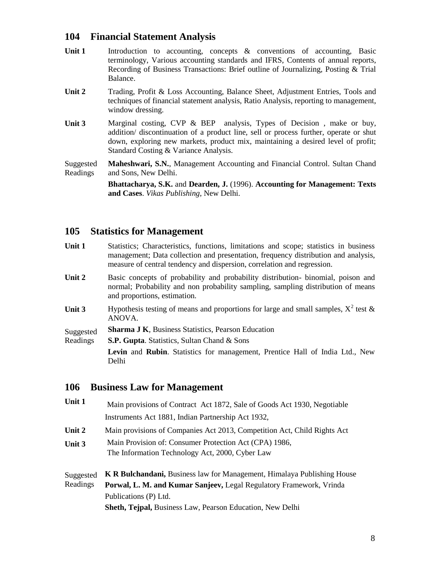## **104 Financial Statement Analysis**

- Unit 1 Introduction to accounting, concepts & conventions of accounting, Basic terminology, Various accounting standards and IFRS, Contents of annual reports, Recording of Business Transactions: Brief outline of Journalizing, Posting & Trial Balance.
- **Unit 2** Trading, Profit & Loss Accounting, Balance Sheet, Adjustment Entries, Tools and techniques of financial statement analysis, Ratio Analysis, reporting to management, window dressing.
- Unit 3 Marginal costing, CVP & BEP analysis, Types of Decision, make or buy, addition/ discontinuation of a product line, sell or process further, operate or shut down, exploring new markets, product mix, maintaining a desired level of profit; Standard Costing & Variance Analysis.

Suggested Readings **Maheshwari, S.N.**, Management Accounting and Financial Control. Sultan Chand and Sons, New Delhi.

> **Bhattacharya, S.K.** and **Dearden, J.** (1996). **Accounting for Management: Texts and Cases**. *Vikas Publishing*, New Delhi.

## **105 Statistics for Management**

- Unit 1 Statistics; Characteristics, functions, limitations and scope; statistics in business management; Data collection and presentation, frequency distribution and analysis, measure of central tendency and dispersion, correlation and regression.
- Unit 2 Basic concepts of probability and probability distribution- binomial, poison and normal; Probability and non probability sampling, sampling distribution of means and proportions, estimation.
- **Unit 3** Hypothesis testing of means and proportions for large and small samples,  $X^2$  test  $\&$ ANOVA.
- Suggested **Sharma J K**, Business Statistics, Pearson Education
- Readings **S.P. Gupta**. Statistics, Sultan Chand & Sons

**Levin** and **Rubin**. Statistics for management, Prentice Hall of India Ltd., New Delhi

#### **106 Business Law for Management**

**Unit 1** Main provisions of Contract Act 1872, Sale of Goods Act 1930, Negotiable Instruments Act 1881, Indian Partnership Act 1932, **Unit 2** Main provisions of Companies Act 2013, Competition Act, Child Rights Act **Unit 3** Main Provision of: Consumer Protection Act (CPA) 1986, The Information Technology Act, 2000, Cyber Law Suggested Readings **K R Bulchandani,** Business law for Management, Himalaya Publishing House **Porwal, L. M. and Kumar Sanjeev,** Legal Regulatory Framework, Vrinda Publications (P) Ltd. **Sheth, Tejpal,** Business Law, Pearson Education, New Delhi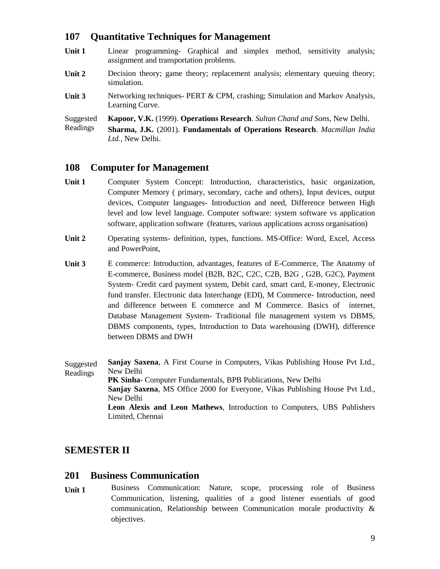## **107 Quantitative Techniques for Management**

- Unit 1 Linear programming- Graphical and simplex method, sensitivity analysis; assignment and transportation problems.
- Unit 2 Decision theory; game theory; replacement analysis; elementary queuing theory; simulation.
- **Unit 3** Networking techniques- PERT & CPM, crashing; Simulation and Markov Analysis, Learning Curve.

Suggested **Kapoor, V.K.** (1999). **Operations Research**. *Sultan Chand and Sons*, New Delhi.

Readings **Sharma, J.K.** (2001). **Fundamentals of Operations Research**. *Macmillan India Ltd.*, New Delhi.

#### **108 Computer for Management**

- **Unit 1** Computer System Concept: Introduction, characteristics, basic organization, Computer Memory ( primary, secondary, cache and others), Input devices, output devices, Computer languages- Introduction and need, Difference between High level and low level language. Computer software: system software vs application software, application software (features, various applications across organisation)
- **Unit 2** Operating systems- definition, types, functions. MS-Office: Word, Excel, Access and PowerPoint,
- **Unit 3** E commerce: Introduction, advantages, features of E-Commerce, The Anatomy of E-commerce, Business model (B2B, B2C, C2C, C2B, B2G , G2B, G2C), Payment System- Credit card payment system, Debit card, smart card, E-money, Electronic fund transfer. Electronic data Interchange (EDI), M Commerce- Introduction, need and difference between E commerce and M Commerce. Basics of internet, Database Management System- Traditional file management system vs DBMS, DBMS components, types, Introduction to Data warehousing (DWH), difference between DBMS and DWH

Suggested Readings **Sanjay Saxena**, A First Course in Computers, Vikas Publishing House Pvt Ltd., New Delhi **PK Sinha-** Computer Fundamentals, BPB Publications, New Delhi **Sanjay Saxena**, MS Office 2000 for Everyone, Vikas Publishing House Pvt Ltd., New Delhi **Leon Alexis and Leon Mathews**, Introduction to Computers, UBS Publishers Limited, Chennai

## **SEMESTER II**

#### **201 Business Communication**

**Unit 1** Business Communication: Nature, scope, processing role of Business Communication, listening, qualities of a good listener essentials of good communication, Relationship between Communication morale productivity & objectives.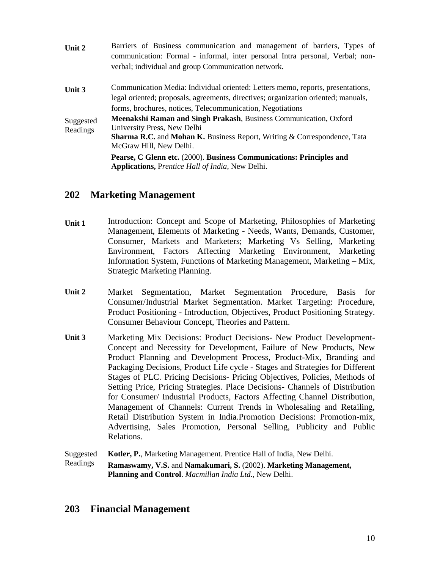| Unit 2                | Barriers of Business communication and management of barriers, Types of<br>communication: Formal - informal, inter personal Intra personal, Verbal; non-<br>verbal; individual and group Communication network. |
|-----------------------|-----------------------------------------------------------------------------------------------------------------------------------------------------------------------------------------------------------------|
| Unit 3                | Communication Media: Individual oriented: Letters memo, reports, presentations,<br>legal oriented; proposals, agreements, directives; organization oriented; manuals,                                           |
|                       | forms, brochures, notices, Telecommunication, Negotiations                                                                                                                                                      |
| Suggested<br>Readings | Meenakshi Raman and Singh Prakash, Business Communication, Oxford<br>University Press, New Delhi                                                                                                                |
|                       | <b>Sharma R.C.</b> and <b>Mohan K.</b> Business Report, Writing $\&$ Correspondence, Tata<br>McGraw Hill, New Delhi.                                                                                            |
|                       | Pearse, C Glenn etc. (2000). Business Communications: Principles and<br><b>Applications, Prentice Hall of India, New Delhi.</b>                                                                                 |

## **202 Marketing Management**

- **Unit 1** Introduction: Concept and Scope of Marketing, Philosophies of Marketing Management, Elements of Marketing - Needs, Wants, Demands, Customer, Consumer, Markets and Marketers; Marketing Vs Selling, Marketing Environment, Factors Affecting Marketing Environment, Marketing Information System, Functions of Marketing Management, Marketing – Mix, Strategic Marketing Planning.
- **Unit 2** Market Segmentation, Market Segmentation Procedure, Basis for Consumer/Industrial Market Segmentation. Market Targeting: Procedure, Product Positioning - Introduction, Objectives, Product Positioning Strategy. Consumer Behaviour Concept, Theories and Pattern.
- **Unit 3** Marketing Mix Decisions: Product Decisions- New Product Development-Concept and Necessity for Development, Failure of New Products, New Product Planning and Development Process, Product-Mix, Branding and Packaging Decisions, Product Life cycle - Stages and Strategies for Different Stages of PLC. Pricing Decisions- Pricing Objectives, Policies, Methods of Setting Price, Pricing Strategies. Place Decisions- Channels of Distribution for Consumer/ Industrial Products, Factors Affecting Channel Distribution, Management of Channels: Current Trends in Wholesaling and Retailing, Retail Distribution System in India.Promotion Decisions: Promotion-mix, Advertising, Sales Promotion, Personal Selling, Publicity and Public Relations.

Suggested Readings **Kotler, P.**, Marketing Management. Prentice Hall of India, New Delhi. **Ramaswamy, V.S.** and **Namakumari, S.** (2002). **Marketing Management, Planning and Control**. *Macmillan India Ltd.*, New Delhi.

## **203 Financial Management**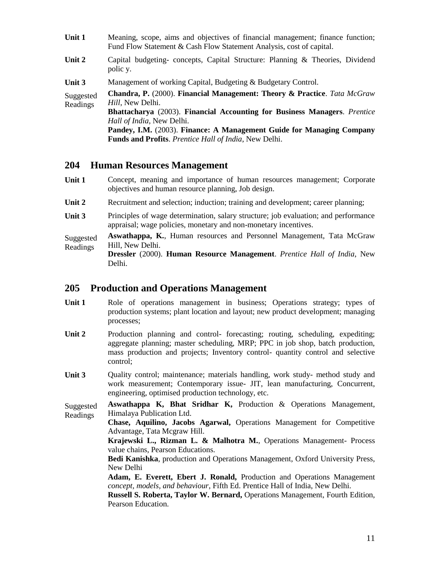| Unit 1                | Meaning, scope, aims and objectives of financial management; finance function;<br>Fund Flow Statement & Cash Flow Statement Analysis, cost of capital. |
|-----------------------|--------------------------------------------------------------------------------------------------------------------------------------------------------|
| Unit 2                | Capital budgeting- concepts, Capital Structure: Planning & Theories, Dividend<br>polic y.                                                              |
| Unit 3                | Management of working Capital, Budgeting & Budgetary Control.                                                                                          |
| Suggested<br>Readings | <b>Chandra, P.</b> (2000). Financial Management: Theory & Practice. Tata McGraw<br>Hill, New Delhi.                                                    |
|                       | Bhattacharya (2003). Financial Accounting for Business Managers. Prentice                                                                              |
|                       | Hall of India, New Delhi.                                                                                                                              |
|                       | Pandey, I.M. (2003). Finance: A Management Guide for Managing Company                                                                                  |
|                       | Funds and Profits. Prentice Hall of India, New Delhi.                                                                                                  |
|                       |                                                                                                                                                        |

#### **204 Human Resources Management**

- **Unit 1** Concept, meaning and importance of human resources management; Corporate objectives and human resource planning, Job design.
- Unit 2 Recruitment and selection; induction; training and development; career planning;
- **Unit 3** Principles of wage determination, salary structure; job evaluation; and performance appraisal; wage policies, monetary and non-monetary incentives.
- Suggested Readings **Aswathappa, K.**, Human resources and Personnel Management, Tata McGraw Hill, New Delhi.

**Dressler** (2000). **Human Resource Management**. *Prentice Hall of India*, New Delhi.

#### **205 Production and Operations Management**

- Unit 1 Role of operations management in business; Operations strategy; types of production systems; plant location and layout; new product development; managing processes;
- Unit 2 Production planning and control- forecasting; routing, scheduling, expediting; aggregate planning; master scheduling, MRP; PPC in job shop, batch production, mass production and projects; Inventory control- quantity control and selective control;
- Unit 3 Quality control; maintenance; materials handling, work study- method study and work measurement; Contemporary issue- JIT, lean manufacturing, Concurrent, engineering, optimised production technology, etc.

Suggested Readings **Aswathappa K, Bhat Sridhar K,** Production & Operations Management, Himalaya Publication Ltd.

**Chase, Aquilino, Jacobs Agarwal,** Operations Management for Competitive Advantage, Tata Mcgraw Hill.

**Krajewski L., Rizman L. & Malhotra M.**, Operations Management- Process value chains, Pearson Educations.

**Bedi Kanishka**, production and Operations Management, Oxford University Press, New Delhi

**Adam, E. Everett, Ebert J. Ronald,** Production and Operations Management *concept, models, and behaviour*, Fifth Ed. Prentice Hall of India, New Delhi.

**Russell S. Roberta, Taylor W. Bernard,** Operations Management, Fourth Edition, Pearson Education.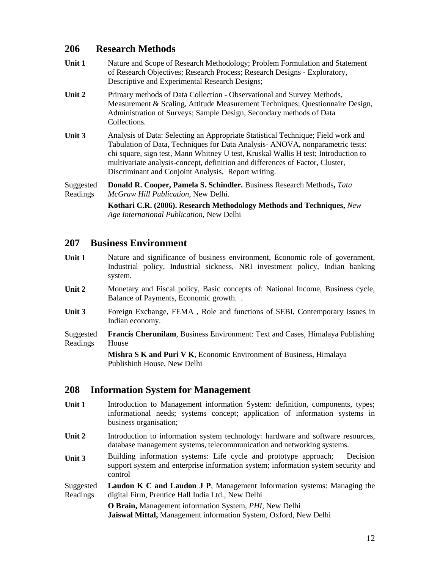## **206 Research Methods**

- **Unit 1** Nature and Scope of Research Methodology; Problem Formulation and Statement of Research Objectives; Research Process; Research Designs - Exploratory, Descriptive and Experimental Research Designs;
- **Unit 2** Primary methods of Data Collection Observational and Survey Methods, Measurement & Scaling, Attitude Measurement Techniques; Questionnaire Design, Administration of Surveys; Sample Design, Secondary methods of Data Collections.
- **Unit 3** Analysis of Data: Selecting an Appropriate Statistical Technique; Field work and Tabulation of Data, Techniques for Data Analysis- ANOVA, nonparametric tests: chi square, sign test, Mann Whitney U test, Kruskal Wallis H test; Introduction to multivariate analysis-concept, definition and differences of Factor, Cluster, Discriminant and Conjoint Analysis, Report writing.

Suggested Readings **Donald R. Cooper, Pamela S. Schindler.** Business Research Methods**,** *Tata McGraw Hill Publication*, New Delhi.

> **Kothari C.R. (2006). Research Methodology Methods and Techniques,** *New Age International Publication,* New Delhi

## **207 Business Environment**

- Unit 1 Nature and significance of business environment, Economic role of government, Industrial policy, Industrial sickness, NRI investment policy, Indian banking system.
- **Unit 2** Monetary and Fiscal policy, Basic concepts of: National Income, Business cycle, Balance of Payments, Economic growth. .
- **Unit 3** Foreign Exchange, FEMA , Role and functions of SEBI, Contemporary Issues in Indian economy.
- Suggested Readings **Francis Cherunilam**, Business Environment: Text and Cases, Himalaya Publishing House

**Mishra S K and Puri V K**, Economic Environment of Business, Himalaya Publishinh House, New Delhi

## **208 Information System for Management**

- **Unit 1** Introduction to Management information System: definition, components, types; informational needs; systems concept; application of information systems in business organisation;
- Unit 2 Introduction to information system technology: hardware and software resources, database management systems, telecommunication and networking systems.
- **Unit 3** Building information systems: Life cycle and prototype approach; Decision support system and enterprise information system; information system security and control
- Suggested Readings **Laudon K C and Laudon J P**, Management Information systems: Managing the digital Firm, Prentice Hall India Ltd., New Delhi

**O Brain,** Management information System, *PHI,* New Delhi **Jaiswal Mittal,** Management information System, Oxford, New Delhi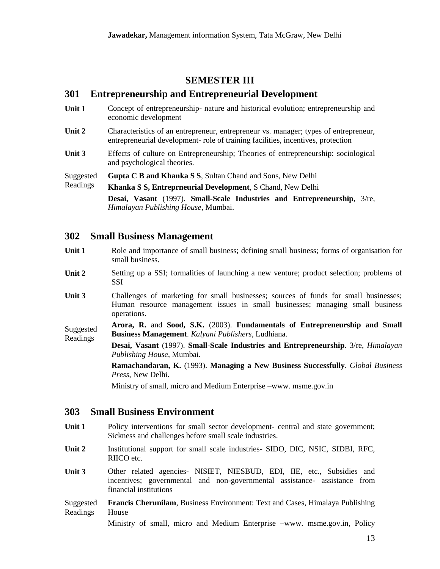## **SEMESTER III**

#### **301 Entrepreneurship and Entrepreneurial Development**

- **Unit 1** Concept of entrepreneurship- nature and historical evolution; entrepreneurship and economic development
- Unit 2 Characteristics of an entrepreneur, entrepreneur vs. manager; types of entrepreneur, entrepreneurial development- role of training facilities, incentives, protection
- **Unit 3** Effects of culture on Entrepreneurship; Theories of entrepreneurship: sociological and psychological theories.

Suggested **Gupta C B and Khanka S S**, Sultan Chand and Sons, New Delhi

Readings **Khanka S S, Entreprneurial Development**, S Chand, New Delhi

> **Desai, Vasant** (1997). **Small-Scale Industries and Entrepreneurship**, 3/re, *Himalayan Publishing House*, Mumbai.

#### **302 Small Business Management**

- **Unit 1** Role and importance of small business; defining small business; forms of organisation for small business.
- Unit 2 Setting up a SSI; formalities of launching a new venture; product selection; problems of SSI
- **Unit 3** Challenges of marketing for small businesses; sources of funds for small businesses; Human resource management issues in small businesses; managing small business operations.

Suggested Readings **Arora, R.** and **Sood, S.K.** (2003). **Fundamentals of Entrepreneurship and Small Business Management**. *Kalyani Publishers*, Ludhiana.

**Desai, Vasant** (1997). **Small-Scale Industries and Entrepreneurship**. 3/re, *Himalayan Publishing House*, Mumbai.

**Ramachandaran, K.** (1993). **Managing a New Business Successfully**. *Global Business Press*, New Delhi.

Ministry of small, micro and Medium Enterprise –www. msme.gov.in

#### **303 Small Business Environment**

- Unit 1 Policy interventions for small sector development- central and state government; Sickness and challenges before small scale industries.
- **Unit 2** Institutional support for small scale industries- SIDO, DIC, NSIC, SIDBI, RFC, RIICO etc.
- **Unit 3** Other related agencies- NISIET, NIESBUD, EDI, IIE, etc., Subsidies and incentives; governmental and non-governmental assistance- assistance from financial institutions

Suggested Readings **Francis Cherunilam**, Business Environment: Text and Cases, Himalaya Publishing House

Ministry of small, micro and Medium Enterprise –www. msme.gov.in, Policy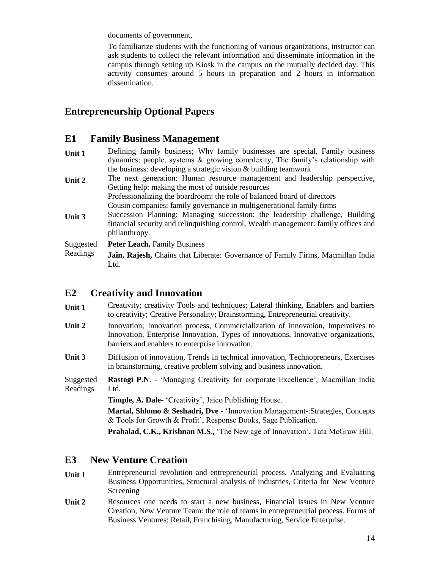documents of government,

To familiarize students with the functioning of various organizations, instructor can ask students to collect the relevant information and disseminate information in the campus through setting up Kiosk in the campus on the mutually decided day. This activity consumes around 5 hours in preparation and 2 hours in information dissemination.

## **Entrepreneurship Optional Papers**

#### **E1 Family Business Management**

**Unit 1** Defining family business; Why family businesses are special, Family business dynamics: people, systems & growing complexity, The family's relationship with the business: developing a strategic vision & building teamwork Unit 2 The next generation: Human resource management and leadership perspective, Getting help: making the most of outside resources Professionalizing the boardroom: the role of balanced board of directors Cousin companies: family governance in multigenerational family firms **Unit 3** Succession Planning: Managing succession: the leadership challenge, Building financial security and relinquishing control, Wealth management: family offices and philanthropy. Suggested Readings Peter Leach, Family Business **Jain, Rajesh,** Chains that Liberate: Governance of Family Firms, Macmillan India Ltd.

## **E2 Creativity and Innovation**

| Unit 1 | Creativity; creativity Tools and techniques; Lateral thinking, Enablers and barriers |
|--------|--------------------------------------------------------------------------------------|
|        | to creativity; Creative Personality; Brainstorming, Entrepreneurial creativity.      |
| Unit 2 | Innovation; Innovation process, Commercialization of innovation, Imperatives to      |
|        | Innovation, Enterprise Innovation, Types of innovations, Innovative organizations,   |
|        | barriers and enablers to enterprise innovation.                                      |

**Unit 3** Diffusion of innovation, Trends in technical innovation, Technopreneurs, Exercises in brainstorming, creative problem solving and business innovation.

Suggested Readings **Rastogi P.N**. - 'Managing Creativity for corporate Excellence', Macmillan India Ltd.

**Timple, A. Dale-** 'Creativity', Jaico Publishing House.

**Martal, Shlomo & Seshadri, Dve -** 'Innovation Management-:Strategies, Concepts & Tools for Growth & Profit', Response Books, Sage Publication.

**Prahalad, C.K., Krishnan M.S.,** 'The New age of Innovation', Tata McGraw Hill.

#### **E3 New Venture Creation**

- **Unit 1** Entrepreneurial revolution and entrepreneurial process, Analyzing and Evaluating Business Opportunities, Structural analysis of industries, Criteria for New Venture Screening
- Unit 2 Resources one needs to start a new business, Financial issues in New Venture Creation, New Venture Team: the role of teams in entrepreneurial process. Forms of Business Ventures: Retail, Franchising, Manufacturing, Service Enterprise.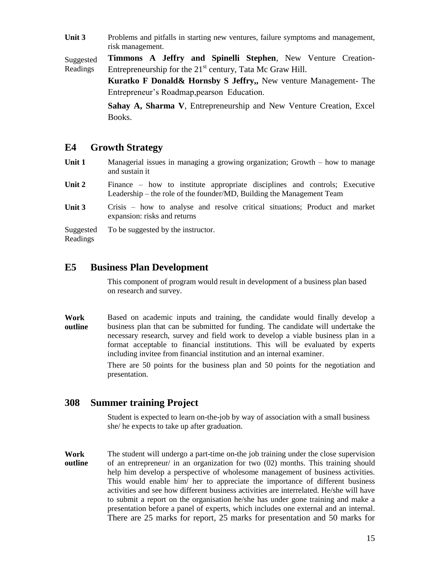Unit 3 Problems and pitfalls in starting new ventures, failure symptoms and management, risk management.

Suggested Readings **Timmons A Jeffry and Spinelli Stephen**, New Venture Creation-Entrepreneurship for the  $21<sup>st</sup>$  century, Tata Mc Graw Hill.

> **Kuratko F Donald& Hornsby S Jeffry,,** New venture Management- The Entrepreneur's Roadmap,pearson Education.

**Sahay A, Sharma V**, Entrepreneurship and New Venture Creation, Excel Books.

#### **E4 Growth Strategy**

- Unit 1 Managerial issues in managing a growing organization; Growth how to manage and sustain it
- Unit 2 Finance how to institute appropriate disciplines and controls; Executive Leadership – the role of the founder/MD, Building the Management Team
- **Unit 3** Crisis how to analyse and resolve critical situations; Product and market expansion: risks and returns

Suggested To be suggested by the instructor.

Readings

#### **E5 Business Plan Development**

This component of program would result in development of a business plan based on research and survey.

**Work outline** Based on academic inputs and training, the candidate would finally develop a business plan that can be submitted for funding. The candidate will undertake the necessary research, survey and field work to develop a viable business plan in a format acceptable to financial institutions. This will be evaluated by experts including invitee from financial institution and an internal examiner.

There are 50 points for the business plan and 50 points for the negotiation and presentation.

#### **308 Summer training Project**

Student is expected to learn on-the-job by way of association with a small business she/ he expects to take up after graduation.

**Work outline** The student will undergo a part-time on-the job training under the close supervision of an entrepreneur/ in an organization for two (02) months. This training should help him develop a perspective of wholesome management of business activities. This would enable him/ her to appreciate the importance of different business activities and see how different business activities are interrelated. He/she will have to submit a report on the organisation he/she has under gone training and make a presentation before a panel of experts, which includes one external and an internal. There are 25 marks for report, 25 marks for presentation and 50 marks for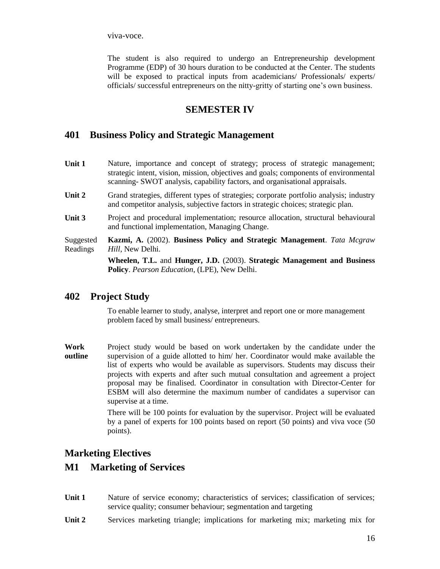viva-voce.

The student is also required to undergo an Entrepreneurship development Programme (EDP) of 30 hours duration to be conducted at the Center. The students will be exposed to practical inputs from academicians/ Professionals/ experts/ officials/ successful entrepreneurs on the nitty-gritty of starting one's own business.

## **SEMESTER IV**

## **401 Business Policy and Strategic Management**

- Unit 1 Nature, importance and concept of strategy; process of strategic management; strategic intent, vision, mission, objectives and goals; components of environmental scanning- SWOT analysis, capability factors, and organisational appraisals.
- Unit 2 Grand strategies, different types of strategies; corporate portfolio analysis; industry and competitor analysis, subjective factors in strategic choices; strategic plan.
- Unit 3 Project and procedural implementation; resource allocation, structural behavioural and functional implementation, Managing Change.

Suggested Readings **Kazmi, A.** (2002). **Business Policy and Strategic Management**. *Tata Mcgraw Hill*, New Delhi.

> **Wheelen, T.L.** and **Hunger, J.D.** (2003). **Strategic Management and Business Policy**. *Pearson Education*, (LPE), New Delhi.

## **402 Project Study**

To enable learner to study, analyse, interpret and report one or more management problem faced by small business/ entrepreneurs.

**Work outline** Project study would be based on work undertaken by the candidate under the supervision of a guide allotted to him/ her. Coordinator would make available the list of experts who would be available as supervisors. Students may discuss their projects with experts and after such mutual consultation and agreement a project proposal may be finalised. Coordinator in consultation with Director-Center for ESBM will also determine the maximum number of candidates a supervisor can supervise at a time.

> There will be 100 points for evaluation by the supervisor. Project will be evaluated by a panel of experts for 100 points based on report (50 points) and viva voce (50 points).

## **Marketing Electives**

## **M1 Marketing of Services**

- Unit 1 Nature of service economy; characteristics of services; classification of services; service quality; consumer behaviour; segmentation and targeting
- **Unit 2** Services marketing triangle; implications for marketing mix; marketing mix for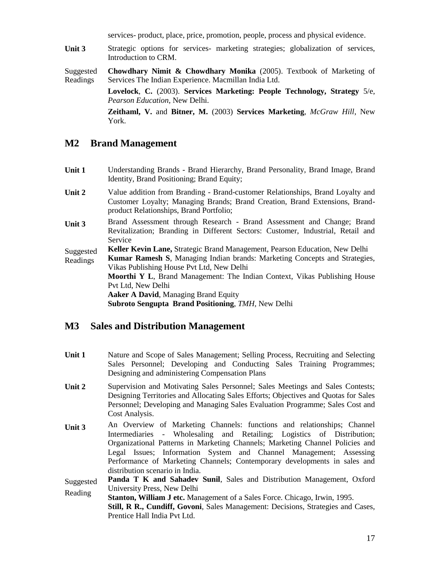services- product, place, price, promotion, people, process and physical evidence.

Unit 3 Strategic options for services- marketing strategies; globalization of services, Introduction to CRM.

Suggested Readings **Chowdhary Nimit & Chowdhary Monika** (2005). Textbook of Marketing of Services The Indian Experience. Macmillan India Ltd.

> **Lovelock**, **C.** (2003). **Services Marketing: People Technology, Strategy** 5/e, *Pearson Education*, New Delhi.

**Zeithaml, V.** and **Bitner, M.** (2003) **Services Marketing**, *McGraw Hill*, New York.

#### **M2 Brand Management**

- **Unit 1** Understanding Brands Brand Hierarchy, Brand Personality, Brand Image, Brand Identity, Brand Positioning; Brand Equity;
- **Unit 2** Value addition from Branding Brand-customer Relationships, Brand Loyalty and Customer Loyalty; Managing Brands; Brand Creation, Brand Extensions, Brandproduct Relationships, Brand Portfolio;
- **Unit 3** Brand Assessment through Research Brand Assessment and Change; Brand Revitalization; Branding in Different Sectors: Customer, Industrial, Retail and Service

Suggested **Keller Kevin Lane,** Strategic Brand Management, Pearson Education, New Delhi

Readings **Kumar Ramesh S**, Managing Indian brands: Marketing Concepts and Strategies, Vikas Publishing House Pvt Ltd, New Delhi **Moorthi Y L**, Brand Management: The Indian Context, Vikas Publishing House Pvt Ltd, New Delhi **Aaker A David**, Managing Brand Equity

**Subroto Sengupta Brand Positioning**, *TMH,* New Delhi

#### **M3 Sales and Distribution Management**

- **Unit 1** Nature and Scope of Sales Management; Selling Process, Recruiting and Selecting Sales Personnel; Developing and Conducting Sales Training Programmes; Designing and administering Compensation Plans
- **Unit 2** Supervision and Motivating Sales Personnel; Sales Meetings and Sales Contests; Designing Territories and Allocating Sales Efforts; Objectives and Quotas for Sales Personnel; Developing and Managing Sales Evaluation Programme; Sales Cost and Cost Analysis.
- Unit 3 An Overview of Marketing Channels: functions and relationships; Channel Intermediaries - Wholesaling and Retailing; Logistics of Distribution; Organizational Patterns in Marketing Channels; Marketing Channel Policies and Legal Issues; Information System and Channel Management; Assessing Performance of Marketing Channels; Contemporary developments in sales and distribution scenario in India.
- Suggested Reading Panda T K and Sahadev Sunil, Sales and Distribution Management, Oxford University Press, New Delhi
	- **Stanton, William J etc.** Management of a Sales Force. Chicago, Irwin, 1995. **Still, R R., Cundiff, Govoni**, Sales Management: Decisions, Strategies and Cases, Prentice Hall India Pvt Ltd.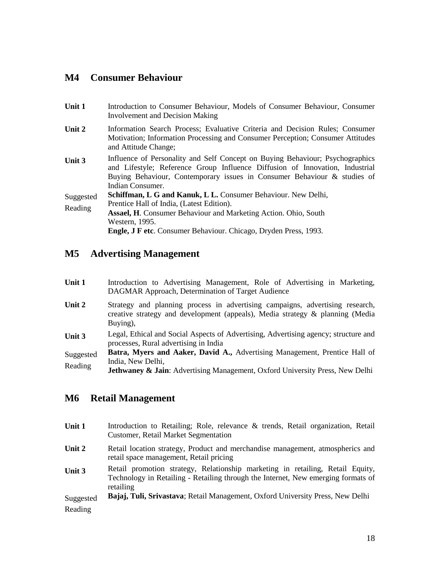## **M4 Consumer Behaviour**

| Unit 1    | Introduction to Consumer Behaviour, Models of Consumer Behaviour, Consumer<br>Involvement and Decision Making                                                                                                                                                 |
|-----------|---------------------------------------------------------------------------------------------------------------------------------------------------------------------------------------------------------------------------------------------------------------|
| Unit 2    | Information Search Process; Evaluative Criteria and Decision Rules; Consumer<br>Motivation; Information Processing and Consumer Perception; Consumer Attitudes<br>and Attitude Change;                                                                        |
| Unit 3    | Influence of Personality and Self Concept on Buying Behaviour; Psychographics<br>and Lifestyle; Reference Group Influence Diffusion of Innovation, Industrial<br>Buying Behaviour, Contemporary issues in Consumer Behaviour & studies of<br>Indian Consumer. |
| Suggested | <b>Schiffman, L G and Kanuk, L L. Consumer Behaviour. New Delhi,</b>                                                                                                                                                                                          |
| Reading   | Prentice Hall of India, (Latest Edition).                                                                                                                                                                                                                     |
|           | <b>Assael, H.</b> Consumer Behaviour and Marketing Action. Ohio, South                                                                                                                                                                                        |
|           | Western, 1995.                                                                                                                                                                                                                                                |
|           | <b>Engle, J F etc.</b> Consumer Behaviour. Chicago, Dryden Press, 1993.                                                                                                                                                                                       |

## **M5 Advertising Management**

- **Unit 1** Introduction to Advertising Management, Role of Advertising in Marketing, DAGMAR Approach, Determination of Target Audience
- Unit 2 Strategy and planning process in advertising campaigns, advertising research, creative strategy and development (appeals), Media strategy & planning (Media Buying),
- **Unit 3** Legal, Ethical and Social Aspects of Advertising, Advertising agency; structure and processes, Rural advertising in India

Suggested Reading **Batra, Myers and Aaker, David A.,** Advertising Management, Prentice Hall of India, New Delhi,

**Jethwaney & Jain:** Advertising Management, Oxford University Press, New Delhi

## **M6 Retail Management**

- Unit 1 Introduction to Retailing; Role, relevance & trends, Retail organization, Retail Customer, Retail Market Segmentation
- Unit 2 Retail location strategy, Product and merchandise management, atmospherics and retail space management, Retail pricing
- **Unit 3** Retail promotion strategy, Relationship marketing in retailing, Retail Equity, Technology in Retailing - Retailing through the Internet, New emerging formats of retailing

Suggested Reading **Bajaj, Tuli, Srivastava**; Retail Management, Oxford University Press, New Delhi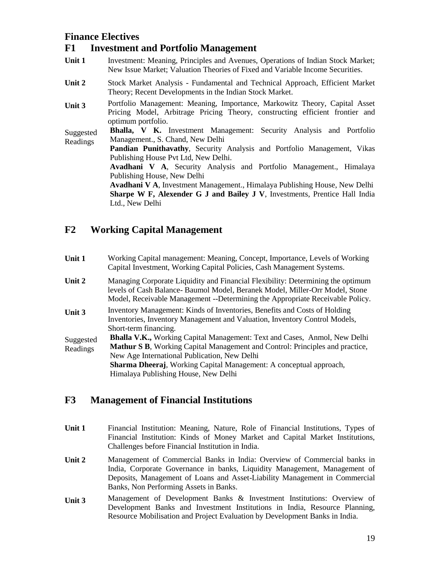## **Finance Electives**

## **F1 Investment and Portfolio Management**

- **Unit 1** Investment: Meaning, Principles and Avenues, Operations of Indian Stock Market; New Issue Market; Valuation Theories of Fixed and Variable Income Securities.
- **Unit 2** Stock Market Analysis Fundamental and Technical Approach, Efficient Market Theory; Recent Developments in the Indian Stock Market.
- **Unit 3** Portfolio Management: Meaning, Importance, Markowitz Theory, Capital Asset Pricing Model, Arbitrage Pricing Theory, constructing efficient frontier and optimum portfolio.

Suggested Readings **Bhalla, V K.** Investment Management: Security Analysis and Portfolio Management., S. Chand, New Delhi

**Pandian Punithavathy**, Security Analysis and Portfolio Management, Vikas Publishing House Pvt Ltd, New Delhi.

**Avadhani V A**, Security Analysis and Portfolio Management., Himalaya Publishing House, New Delhi

**Avadhani V A**, Investment Management., Himalaya Publishing House, New Delhi **Sharpe W F, Alexender G J and Bailey J V**, Investments, Prentice Hall India Ltd., New Delhi

## **F2 Working Capital Management**

- **Unit 1** Working Capital management: Meaning, Concept, Importance, Levels of Working Capital Investment, Working Capital Policies, Cash Management Systems.
- **Unit 2** Managing Corporate Liquidity and Financial Flexibility: Determining the optimum levels of Cash Balance- Baumol Model, Beranek Model, Miller-Orr Model, Stone Model, Receivable Management --Determining the Appropriate Receivable Policy.
- **Unit 3** Inventory Management: Kinds of Inventories, Benefits and Costs of Holding Inventories, Inventory Management and Valuation, Inventory Control Models, Short-term financing.
- Suggested Readings **Bhalla V.K.,** Working Capital Management: Text and Cases, Anmol, New Delhi **Mathur S B**, Working Capital Management and Control: Principles and practice, New Age International Publication, New Delhi **Sharma Dheeraj**, Working Capital Management: A conceptual approach,

Himalaya Publishing House, New Delhi

## **F3 Management of Financial Institutions**

- **Unit 1** Financial Institution: Meaning, Nature, Role of Financial Institutions, Types of Financial Institution: Kinds of Money Market and Capital Market Institutions, Challenges before Financial Institution in India.
- **Unit 2** Management of Commercial Banks in India: Overview of Commercial banks in India, Corporate Governance in banks, Liquidity Management, Management of Deposits, Management of Loans and Asset-Liability Management in Commercial Banks, Non Performing Assets in Banks.
- **Unit 3** Management of Development Banks & Investment Institutions: Overview of Development Banks and Investment Institutions in India, Resource Planning, Resource Mobilisation and Project Evaluation by Development Banks in India.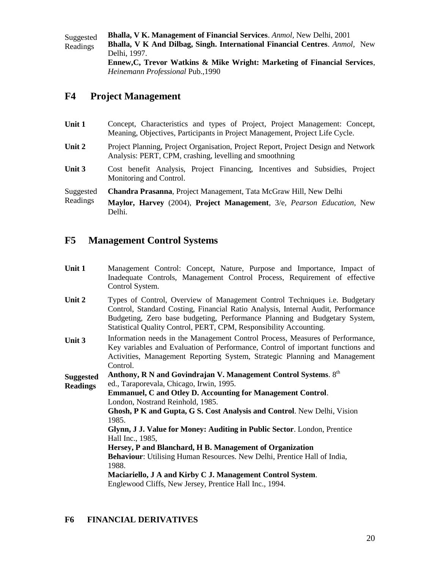Suggested Readings **Bhalla, V K. Management of Financial Services**. *Anmol,* New Delhi, 2001 **Bhalla, V K And Dilbag, Singh. International Financial Centres**. *Anmol,* New Delhi, 1997. **Ennew,C, Trevor Watkins & Mike Wright: Marketing of Financial Services**, *Heinemann Professional* Pub.,1990

## **F4 Project Management**

| Unit 1                | Concept, Characteristics and types of Project, Project Management: Concept,<br>Meaning, Objectives, Participants in Project Management, Project Life Cycle. |
|-----------------------|-------------------------------------------------------------------------------------------------------------------------------------------------------------|
| Unit 2                | Project Planning, Project Organisation, Project Report, Project Design and Network<br>Analysis: PERT, CPM, crashing, levelling and smoothning               |
| Unit 3                | Cost benefit Analysis, Project Financing, Incentives and Subsidies, Project<br>Monitoring and Control.                                                      |
| Suggested<br>Readings | Chandra Prasanna, Project Management, Tata McGraw Hill, New Delhi<br>Maylor, Harvey (2004), Project Management, 3/e, Pearson Education, New<br>Delhi.       |

## **F5 Management Control Systems**

| Unit 1           | Management Control: Concept, Nature, Purpose and Importance, Impact of<br>Inadequate Controls, Management Control Process, Requirement of effective<br>Control System.                                                                                                                                                    |
|------------------|---------------------------------------------------------------------------------------------------------------------------------------------------------------------------------------------------------------------------------------------------------------------------------------------------------------------------|
| Unit 2           | Types of Control, Overview of Management Control Techniques <i>i.e.</i> Budgetary<br>Control, Standard Costing, Financial Ratio Analysis, Internal Audit, Performance<br>Budgeting, Zero base budgeting, Performance Planning and Budgetary System,<br>Statistical Quality Control, PERT, CPM, Responsibility Accounting. |
| Unit 3           | Information needs in the Management Control Process, Measures of Performance,<br>Key variables and Evaluation of Performance, Control of important functions and<br>Activities, Management Reporting System, Strategic Planning and Management<br>Control.                                                                |
| <b>Suggested</b> | Anthony, R N and Govindrajan V. Management Control Systems. 8th                                                                                                                                                                                                                                                           |
| <b>Readings</b>  | ed., Taraporevala, Chicago, Irwin, 1995.                                                                                                                                                                                                                                                                                  |
|                  | <b>Emmanuel, C and Otley D. Accounting for Management Control.</b>                                                                                                                                                                                                                                                        |
|                  | London, Nostrand Reinhold, 1985.                                                                                                                                                                                                                                                                                          |
|                  | Ghosh, P K and Gupta, G S. Cost Analysis and Control. New Delhi, Vision                                                                                                                                                                                                                                                   |
|                  | 1985.                                                                                                                                                                                                                                                                                                                     |
|                  | Glynn, J J. Value for Money: Auditing in Public Sector. London, Prentice                                                                                                                                                                                                                                                  |
|                  | Hall Inc., 1985,                                                                                                                                                                                                                                                                                                          |
|                  | Hersey, P and Blanchard, H B. Management of Organization                                                                                                                                                                                                                                                                  |
|                  | Behaviour: Utilising Human Resources. New Delhi, Prentice Hall of India,                                                                                                                                                                                                                                                  |
|                  | 1988.                                                                                                                                                                                                                                                                                                                     |
|                  | Maciariello, J A and Kirby C J. Management Control System.                                                                                                                                                                                                                                                                |
|                  | Englewood Cliffs, New Jersey, Prentice Hall Inc., 1994.                                                                                                                                                                                                                                                                   |

#### **F6 FINANCIAL DERIVATIVES**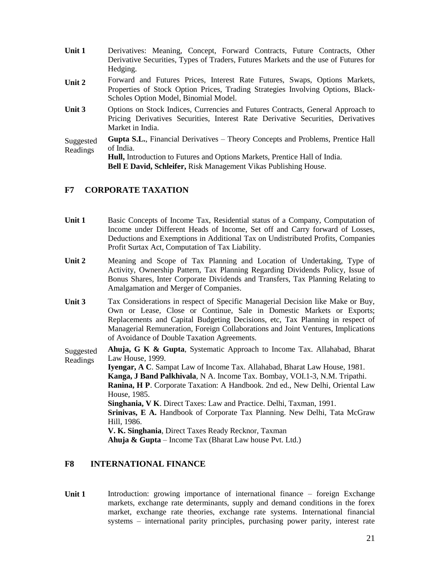| Unit 1                | Derivatives: Meaning, Concept, Forward Contracts, Future Contracts, Other<br>Derivative Securities, Types of Traders, Futures Markets and the use of Futures for<br>Hedging.                                                                                        |
|-----------------------|---------------------------------------------------------------------------------------------------------------------------------------------------------------------------------------------------------------------------------------------------------------------|
| Unit 2                | Forward and Futures Prices, Interest Rate Futures, Swaps, Options Markets,<br>Properties of Stock Option Prices, Trading Strategies Involving Options, Black-<br>Scholes Option Model, Binomial Model.                                                              |
| Unit 3                | Options on Stock Indices, Currencies and Futures Contracts, General Approach to<br>Pricing Derivatives Securities, Interest Rate Derivative Securities, Derivatives<br>Market in India.                                                                             |
| Suggested<br>Readings | <b>Gupta S.L., Financial Derivatives – Theory Concepts and Problems, Prentice Hall</b><br>of India.<br><b>Hull,</b> Introduction to Futures and Options Markets, Prentice Hall of India.<br><b>Bell E David, Schleifer, Risk Management Vikas Publishing House.</b> |

#### **F7 CORPORATE TAXATION**

- **Unit 1** Basic Concepts of Income Tax, Residential status of a Company, Computation of Income under Different Heads of Income, Set off and Carry forward of Losses, Deductions and Exemptions in Additional Tax on Undistributed Profits, Companies Profit Surtax Act, Computation of Tax Liability.
- **Unit 2** Meaning and Scope of Tax Planning and Location of Undertaking, Type of Activity, Ownership Pattern, Tax Planning Regarding Dividends Policy, Issue of Bonus Shares, Inter Corporate Dividends and Transfers, Tax Planning Relating to Amalgamation and Merger of Companies.
- **Unit 3** Tax Considerations in respect of Specific Managerial Decision like Make or Buy, Own or Lease, Close or Continue, Sale in Domestic Markets or Exports; Replacements and Capital Budgeting Decisions, etc, Tax Planning in respect of Managerial Remuneration, Foreign Collaborations and Joint Ventures, Implications of Avoidance of Double Taxation Agreements.

Suggested Readings **Ahuja, G K & Gupta**, Systematic Approach to Income Tax. Allahabad, Bharat Law House, 1999.

**Iyengar, A C**. Sampat Law of Income Tax. Allahabad, Bharat Law House, 1981. **Kanga, J Band Palkhivala**, N A. Income Tax. Bombay, VOI.1-3, N.M. Tripathi. **Ranina, H P**. Corporate Taxation: A Handbook. 2nd ed., New Delhi, Oriental Law House, 1985. **Singhania, V K**. Direct Taxes: Law and Practice. Delhi, Taxman, 1991. **Srinivas, E A.** Handbook of Corporate Tax Planning. New Delhi, Tata McGraw Hill, 1986.

**V. K. Singhania**, Direct Taxes Ready Recknor, Taxman

**Ahuja & Gupta** – Income Tax (Bharat Law house Pvt. Ltd.)

#### **F8 INTERNATIONAL FINANCE**

Unit 1 Introduction: growing importance of international finance – foreign Exchange markets, exchange rate determinants, supply and demand conditions in the forex market, exchange rate theories, exchange rate systems. International financial systems – international parity principles, purchasing power parity, interest rate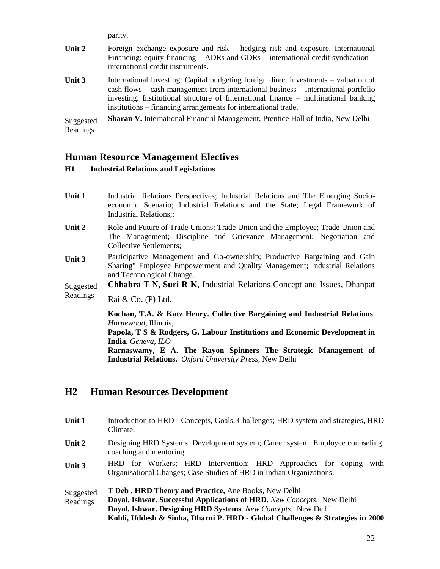parity.

| Unit 2                | Foreign exchange exposure and risk – hedging risk and exposure. International<br>Financing: equity financing – ADRs and GDRs – international credit syndication –<br>international credit instruments.                                                                                                                              |
|-----------------------|-------------------------------------------------------------------------------------------------------------------------------------------------------------------------------------------------------------------------------------------------------------------------------------------------------------------------------------|
| Unit 3                | International Investing: Capital budgeting foreign direct investments – valuation of<br>cash flows – cash management from international business – international portfolio<br>investing. Institutional structure of International finance – multinational banking<br>institutions – financing arrangements for international trade. |
| Suggested<br>Readings | Sharan V, International Financial Management, Prentice Hall of India, New Delhi                                                                                                                                                                                                                                                     |

#### **Human Resource Management Electives**

#### **H1 Industrial Relations and Legislations**

- **Unit 1** Industrial Relations Perspectives; Industrial Relations and The Emerging Socioeconomic Scenario; Industrial Relations and the State; Legal Framework of Industrial Relations;;
- **Unit 2** Role and Future of Trade Unions; Trade Union and the Employee; Trade Union and The Management; Discipline and Grievance Management; Negotiation and Collective Settlements;
- Unit 3 Participative Management and Go-ownership; Productive Bargaining and Gain Sharing" Employee Empowerment and Quality Management; Industrial Relations and Technological Change.

Suggested **Chhabra T N, Suri R K**, Industrial Relations Concept and Issues, Dhanpat

Readings Rai & Co. (P) Ltd.

> **Kochan, T.A. & Katz Henry. Collective Bargaining and Industrial Relations**. *Hornewood,* Illinois, **Papola, T S & Rodgers, G. Labour Institutions and Economic Development in India.** *Geneva, ILO* **Rarnaswamy, E A. The Rayon Spinners The Strategic Management of**

**Industrial Relations.** *Oxford University Press*, New Delhi

## **H2 Human Resources Development**

| Unit 1                | Introduction to HRD - Concepts, Goals, Challenges; HRD system and strategies, HRD<br>Climate;                                                                                                                                                                                    |
|-----------------------|----------------------------------------------------------------------------------------------------------------------------------------------------------------------------------------------------------------------------------------------------------------------------------|
| Unit 2                | Designing HRD Systems: Development system; Career system; Employee counseling,<br>coaching and mentoring                                                                                                                                                                         |
| Unit 3                | HRD for Workers; HRD Intervention; HRD Approaches for coping<br>with<br>Organisational Changes; Case Studies of HRD in Indian Organizations.                                                                                                                                     |
| Suggested<br>Readings | T Deb, HRD Theory and Practice, Ane Books, New Delhi<br>Dayal, Ishwar. Successful Applications of HRD. New Concepts, New Delhi<br>Dayal, Ishwar. Designing HRD Systems. New Concepts, New Delhi<br>Kohli, Uddesh & Sinha, Dharni P. HRD - Global Challenges & Strategies in 2000 |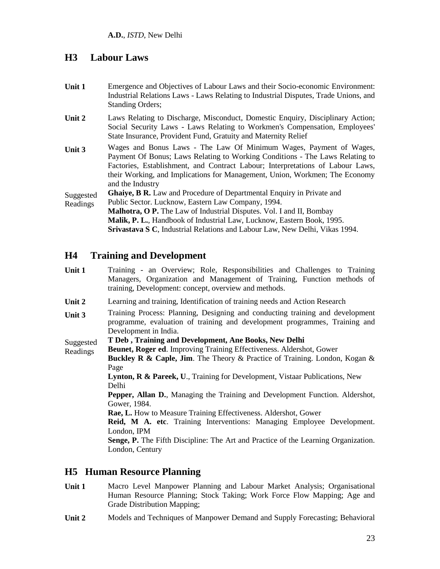### **H3 Labour Laws**

| Unit 1 | Emergence and Objectives of Labour Laws and their Socio-economic Environment:<br>Industrial Relations Laws - Laws Relating to Industrial Disputes, Trade Unions, and<br><b>Standing Orders;</b> |
|--------|-------------------------------------------------------------------------------------------------------------------------------------------------------------------------------------------------|
| Unit 2 | Laws Relating to Discharge, Misconduct, Domestic Enquiry, Disciplinary Action;<br>Social Security Laws - Laws Relating to Workmen's Compensation, Employees'                                    |

- Social Security Laws Laws Relating to Workmen's Compensation, Employees' State Insurance, Provident Fund, Gratuity and Maternity Relief
- **Unit 3** Wages and Bonus Laws The Law Of Minimum Wages, Payment of Wages, Payment Of Bonus; Laws Relating to Working Conditions - The Laws Relating to Factories, Establishment, and Contract Labour; Interpretations of Labour Laws, their Working, and Implications for Management, Union, Workmen; The Economy and the Industry

Suggested Readings **Ghaiye, B R.** Law and Procedure of Departmental Enquiry in Private and Public Sector. Lucknow, Eastern Law Company, 1994. **Malhotra, O P.** The Law of Industrial Disputes. Vol. I and II, Bombay

**Malik, P. L.**, Handbook of Industrial Law, Lucknow, Eastern Book, 1995. **Srivastava S C**, Industrial Relations and Labour Law, New Delhi, Vikas 1994.

## **H4 Training and Development**

- **Unit 1** Training an Overview; Role, Responsibilities and Challenges to Training Managers, Organization and Management of Training, Function methods of training, Development: concept, overview and methods.
- **Unit 2** Learning and training, Identification of training needs and Action Research
- **Unit 3** Training Process: Planning, Designing and conducting training and development programme, evaluation of training and development programmes, Training and Development in India.

#### Suggested **T Deb , Training and Development, Ane Books, New Delhi**

Readings **Beunet, Roger ed**. Improving Training Effectiveness. Aldershot, Gower **Buckley R & Caple, Jim**. The Theory & Practice of Training. London, Kogan & Page **Lynton, R & Pareek, U**., Training for Development, Vistaar Publications, New Delhi

**Pepper, Allan D.**, Managing the Training and Development Function. Aldershot, Gower, 1984.

**Rae, L.** How to Measure Training Effectiveness. Aldershot, Gower

**Reid, M A. etc**. Training Interventions: Managing Employee Development. London, IPM

**Senge, P.** The Fifth Discipline: The Art and Practice of the Learning Organization. London, Century

## **H5 Human Resource Planning**

- **Unit 1** Macro Level Manpower Planning and Labour Market Analysis; Organisational Human Resource Planning; Stock Taking; Work Force Flow Mapping; Age and Grade Distribution Mapping;
- **Unit 2** Models and Techniques of Manpower Demand and Supply Forecasting; Behavioral